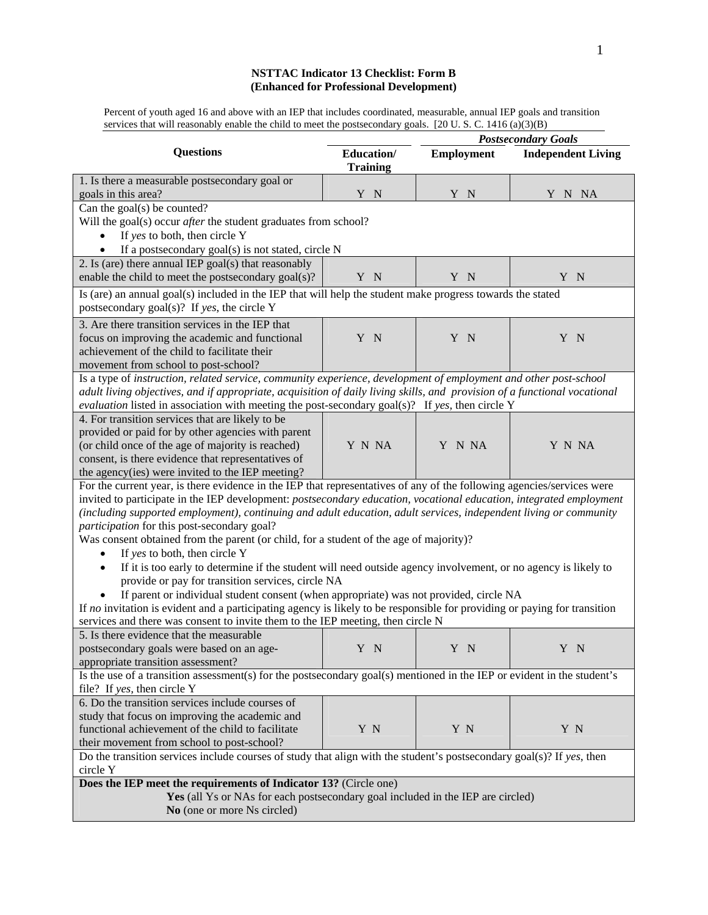# **NSTTAC Indicator 13 Checklist: Form B (Enhanced for Professional Development)**

Percent of youth aged 16 and above with an IEP that includes coordinated, measurable, annual IEP goals and transition services that will reasonably enable the child to meet the postsecondary goals. [20 U.S.C. 1416 (a)(3)(B)

|                                                                                                                             |                               | <b>Postsecondary Goals</b> |                           |
|-----------------------------------------------------------------------------------------------------------------------------|-------------------------------|----------------------------|---------------------------|
| <b>Questions</b>                                                                                                            | Education/<br><b>Training</b> | <b>Employment</b>          | <b>Independent Living</b> |
| 1. Is there a measurable postsecondary goal or                                                                              |                               |                            |                           |
| goals in this area?                                                                                                         | Y N                           | Y N                        | Y N NA                    |
| Can the goal(s) be counted?<br>Will the goal(s) occur after the student graduates from school?                              |                               |                            |                           |
| If yes to both, then circle Y                                                                                               |                               |                            |                           |
| If a postsecondary goal(s) is not stated, circle N                                                                          |                               |                            |                           |
| 2. Is (are) there annual IEP goal(s) that reasonably                                                                        |                               |                            |                           |
| enable the child to meet the postsecondary goal(s)?                                                                         | Y N                           | Y N                        | Y N                       |
| Is (are) an annual goal(s) included in the IEP that will help the student make progress towards the stated                  |                               |                            |                           |
| postsecondary goal(s)? If yes, the circle Y                                                                                 |                               |                            |                           |
| 3. Are there transition services in the IEP that                                                                            |                               |                            |                           |
| focus on improving the academic and functional                                                                              | Y N                           | Y N                        | Y N                       |
| achievement of the child to facilitate their                                                                                |                               |                            |                           |
| movement from school to post-school?                                                                                        |                               |                            |                           |
| Is a type of instruction, related service, community experience, development of employment and other post-school            |                               |                            |                           |
| adult living objectives, and if appropriate, acquisition of daily living skills, and provision of a functional vocational   |                               |                            |                           |
| evaluation listed in association with meeting the post-secondary goal(s)? If yes, then circle Y                             |                               |                            |                           |
| 4. For transition services that are likely to be                                                                            |                               |                            |                           |
| provided or paid for by other agencies with parent                                                                          |                               |                            |                           |
| (or child once of the age of majority is reached)                                                                           | Y N NA                        | Y N NA                     | Y N NA                    |
| consent, is there evidence that representatives of                                                                          |                               |                            |                           |
| the agency(ies) were invited to the IEP meeting?                                                                            |                               |                            |                           |
| For the current year, is there evidence in the IEP that representatives of any of the following agencies/services were      |                               |                            |                           |
| invited to participate in the IEP development: postsecondary education, vocational education, integrated employment         |                               |                            |                           |
| (including supported employment), continuing and adult education, adult services, independent living or community           |                               |                            |                           |
| participation for this post-secondary goal?                                                                                 |                               |                            |                           |
| Was consent obtained from the parent (or child, for a student of the age of majority)?                                      |                               |                            |                           |
| If yes to both, then circle Y<br>$\bullet$                                                                                  |                               |                            |                           |
| If it is too early to determine if the student will need outside agency involvement, or no agency is likely to<br>$\bullet$ |                               |                            |                           |
| provide or pay for transition services, circle NA                                                                           |                               |                            |                           |
| If parent or individual student consent (when appropriate) was not provided, circle NA                                      |                               |                            |                           |
| If no invitation is evident and a participating agency is likely to be responsible for providing or paying for transition   |                               |                            |                           |
| services and there was consent to invite them to the IEP meeting, then circle N                                             |                               |                            |                           |
| 5. Is there evidence that the measurable                                                                                    |                               |                            |                           |
| postsecondary goals were based on an age-                                                                                   | Y N                           | Y N                        | Y N                       |
| appropriate transition assessment?                                                                                          |                               |                            |                           |
| Is the use of a transition assessment(s) for the postsecondary goal(s) mentioned in the IEP or evident in the student's     |                               |                            |                           |
| file? If yes, then circle Y                                                                                                 |                               |                            |                           |
| 6. Do the transition services include courses of                                                                            |                               |                            |                           |
| study that focus on improving the academic and                                                                              |                               |                            |                           |
| functional achievement of the child to facilitate                                                                           | Y N                           | Y N                        | Y N                       |
| their movement from school to post-school?                                                                                  |                               |                            |                           |
| Do the transition services include courses of study that align with the student's postsecondary goal(s)? If yes, then       |                               |                            |                           |
| circle Y                                                                                                                    |                               |                            |                           |
| Does the IEP meet the requirements of Indicator 13? (Circle one)                                                            |                               |                            |                           |
| Yes (all Ys or NAs for each postsecondary goal included in the IEP are circled)                                             |                               |                            |                           |
| No (one or more Ns circled)                                                                                                 |                               |                            |                           |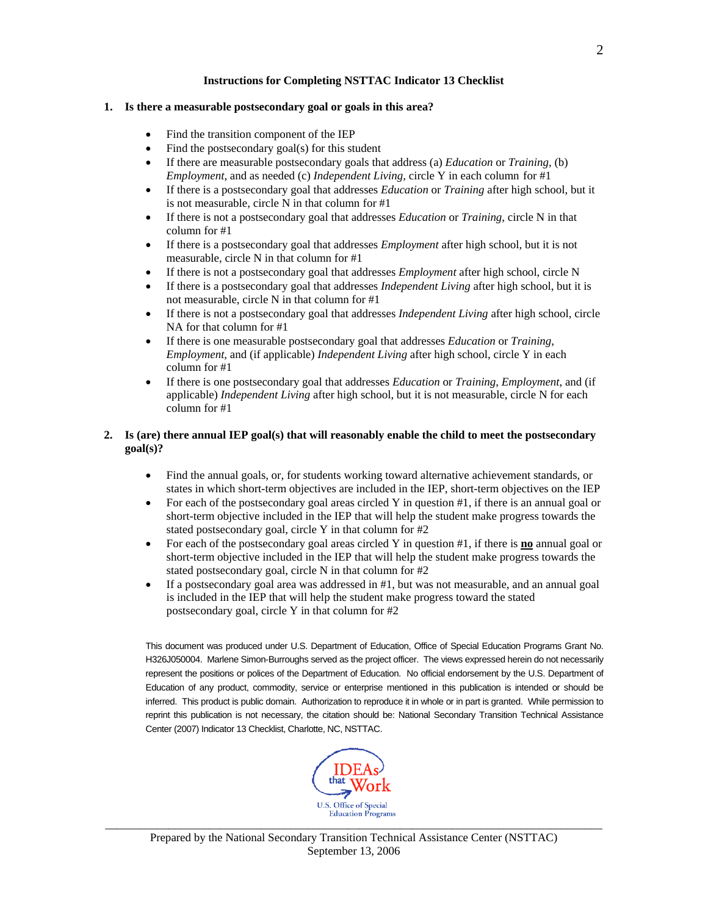## **Instructions for Completing NSTTAC Indicator 13 Checklist**

## **1. Is there a measurable postsecondary goal or goals in this area?**

- Find the transition component of the IEP
- Find the postsecondary goal(s) for this student
- If there are measurable postsecondary goals that address (a) *Education* or *Training*, (b) *Employment*, and as needed (c) *Independent Living*, circle Y in each column for #1
- If there is a postsecondary goal that addresses *Education* or *Training* after high school, but it is not measurable, circle N in that column for #1
- If there is not a postsecondary goal that addresses *Education* or *Training*, circle N in that column for #1
- If there is a postsecondary goal that addresses *Employment* after high school, but it is not measurable, circle N in that column for #1
- If there is not a postsecondary goal that addresses *Employment* after high school, circle N
- If there is a postsecondary goal that addresses *Independent Living* after high school, but it is not measurable, circle N in that column for #1
- If there is not a postsecondary goal that addresses *Independent Living* after high school, circle NA for that column for #1
- If there is one measurable postsecondary goal that addresses *Education* or *Training*, *Employment*, and (if applicable) *Independent Living* after high school, circle Y in each column for #1
- If there is one postsecondary goal that addresses *Education* or *Training*, *Employment*, and (if applicable) *Independent Living* after high school, but it is not measurable, circle N for each column for #1

# **2. Is (are) there annual IEP goal(s) that will reasonably enable the child to meet the postsecondary goal(s)?**

- Find the annual goals, or, for students working toward alternative achievement standards, or states in which short-term objectives are included in the IEP, short-term objectives on the IEP
- For each of the postsecondary goal areas circled Y in question #1, if there is an annual goal or short-term objective included in the IEP that will help the student make progress towards the stated postsecondary goal, circle Y in that column for #2
- For each of the postsecondary goal areas circled Y in question #1, if there is **no** annual goal or short-term objective included in the IEP that will help the student make progress towards the stated postsecondary goal, circle N in that column for #2
- If a postsecondary goal area was addressed in #1, but was not measurable, and an annual goal is included in the IEP that will help the student make progress toward the stated postsecondary goal, circle Y in that column for #2

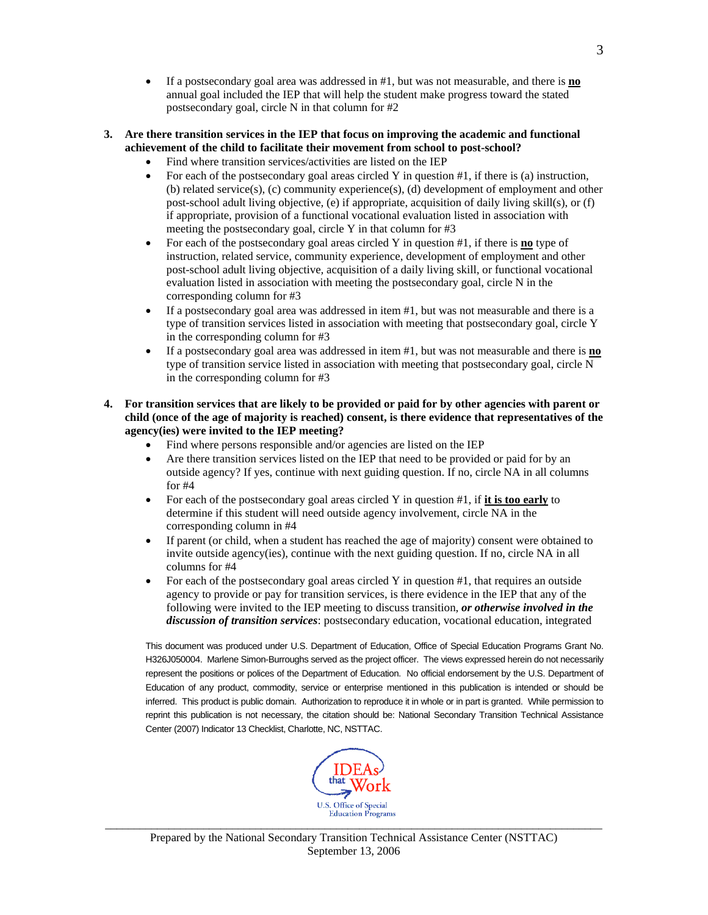• If a postsecondary goal area was addressed in #1, but was not measurable, and there is **no** annual goal included the IEP that will help the student make progress toward the stated postsecondary goal, circle N in that column for #2

## **3. Are there transition services in the IEP that focus on improving the academic and functional achievement of the child to facilitate their movement from school to post-school?**

- Find where transition services/activities are listed on the IEP
- For each of the postsecondary goal areas circled Y in question  $#1$ , if there is (a) instruction, (b) related service(s), (c) community experience(s), (d) development of employment and other post-school adult living objective*,* (e) if appropriate, acquisition of daily living skill(s), or (f) if appropriate, provision of a functional vocational evaluation listed in association with meeting the postsecondary goal, circle Y in that column for #3
- For each of the postsecondary goal areas circled Y in question #1, if there is **no** type of instruction, related service, community experience, development of employment and other post-school adult living objective*,* acquisition of a daily living skill, or functional vocational evaluation listed in association with meeting the postsecondary goal, circle N in the corresponding column for #3
- If a postsecondary goal area was addressed in item #1, but was not measurable and there is a type of transition services listed in association with meeting that postsecondary goal, circle Y in the corresponding column for #3
- If a postsecondary goal area was addressed in item #1, but was not measurable and there is **no** type of transition service listed in association with meeting that postsecondary goal, circle N in the corresponding column for #3
- **4. For transition services that are likely to be provided or paid for by other agencies with parent or child (once of the age of majority is reached) consent, is there evidence that representatives of the agency(ies) were invited to the IEP meeting?** 
	- Find where persons responsible and/or agencies are listed on the IEP
	- Are there transition services listed on the IEP that need to be provided or paid for by an outside agency? If yes, continue with next guiding question. If no, circle NA in all columns for #4
	- For each of the postsecondary goal areas circled Y in question #1, if **it is too early** to determine if this student will need outside agency involvement, circle NA in the corresponding column in #4
	- If parent (or child, when a student has reached the age of majority) consent were obtained to invite outside agency(ies), continue with the next guiding question. If no, circle NA in all columns for #4
	- For each of the postsecondary goal areas circled Y in question  $#1$ , that requires an outside agency to provide or pay for transition services, is there evidence in the IEP that any of the following were invited to the IEP meeting to discuss transition, *or otherwise involved in the discussion of transition services*: postsecondary education, vocational education, integrated

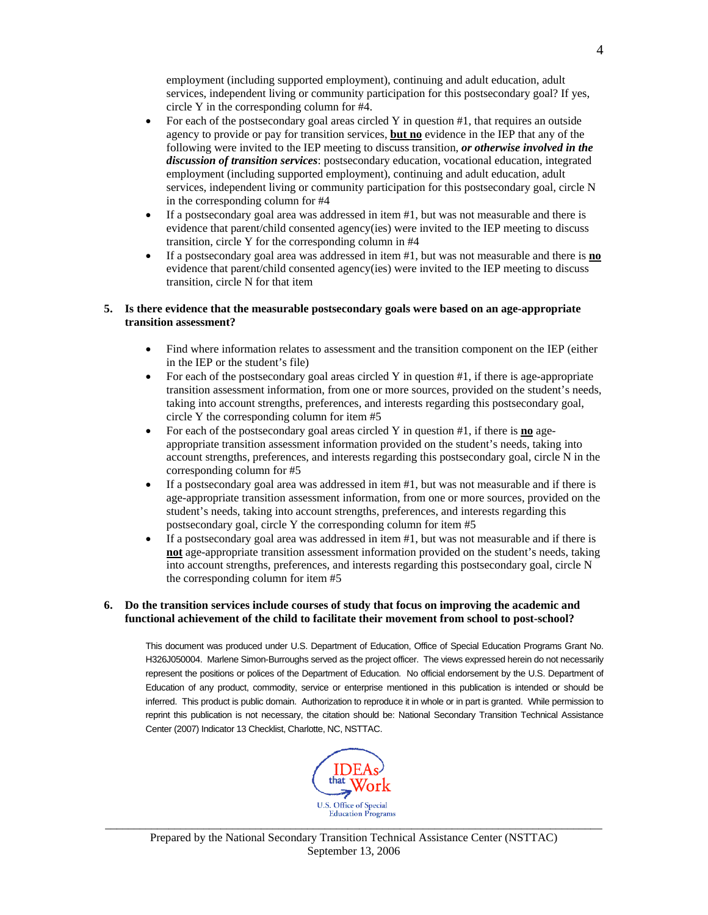employment (including supported employment), continuing and adult education, adult services, independent living or community participation for this postsecondary goal? If yes, circle Y in the corresponding column for #4.

- For each of the postsecondary goal areas circled Y in question #1, that requires an outside agency to provide or pay for transition services, **but no** evidence in the IEP that any of the following were invited to the IEP meeting to discuss transition, *or otherwise involved in the discussion of transition services*: postsecondary education, vocational education, integrated employment (including supported employment), continuing and adult education, adult services, independent living or community participation for this postsecondary goal, circle N in the corresponding column for #4
- If a postsecondary goal area was addressed in item #1, but was not measurable and there is evidence that parent/child consented agency(ies) were invited to the IEP meeting to discuss transition, circle Y for the corresponding column in #4
- If a postsecondary goal area was addressed in item #1, but was not measurable and there is **no** evidence that parent/child consented agency(ies) were invited to the IEP meeting to discuss transition, circle N for that item

### **5. Is there evidence that the measurable postsecondary goals were based on an age-appropriate transition assessment?**

- Find where information relates to assessment and the transition component on the IEP (either in the IEP or the student's file)
- For each of the postsecondary goal areas circled Y in question  $\#1$ , if there is age-appropriate transition assessment information, from one or more sources, provided on the student's needs, taking into account strengths, preferences, and interests regarding this postsecondary goal, circle Y the corresponding column for item #5
- For each of the postsecondary goal areas circled Y in question #1, if there is **no** ageappropriate transition assessment information provided on the student's needs, taking into account strengths, preferences, and interests regarding this postsecondary goal, circle N in the corresponding column for #5
- If a postsecondary goal area was addressed in item  $\#1$ , but was not measurable and if there is age-appropriate transition assessment information, from one or more sources, provided on the student's needs, taking into account strengths, preferences, and interests regarding this postsecondary goal, circle Y the corresponding column for item #5
- If a postsecondary goal area was addressed in item #1, but was not measurable and if there is **not** age-appropriate transition assessment information provided on the student's needs, taking into account strengths, preferences, and interests regarding this postsecondary goal, circle N the corresponding column for item #5

### **6. Do the transition services include courses of study that focus on improving the academic and functional achievement of the child to facilitate their movement from school to post-school?**